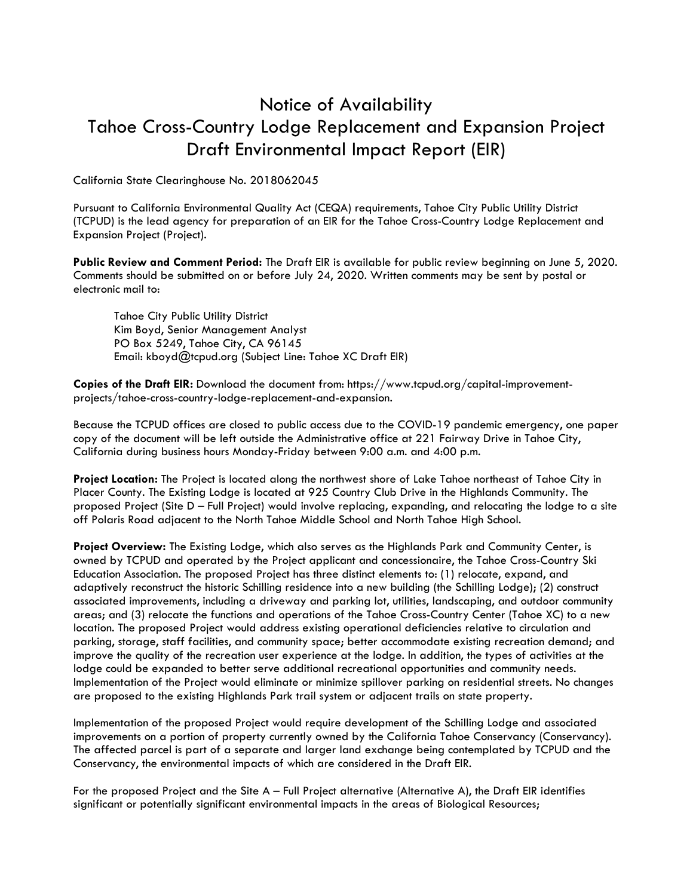## Notice of Availability Tahoe Cross-Country Lodge Replacement and Expansion Project Draft Environmental Impact Report (EIR)

California State Clearinghouse No. 2018062045

Pursuant to California Environmental Quality Act (CEQA) requirements, Tahoe City Public Utility District (TCPUD) is the lead agency for preparation of an EIR for the Tahoe Cross-Country Lodge Replacement and Expansion Project (Project).

**Public Review and Comment Period:** The Draft EIR is available for public review beginning on June 5, 2020. Comments should be submitted on or before July 24, 2020. Written comments may be sent by postal or electronic mail to:

Tahoe City Public Utility District Kim Boyd, Senior Management Analyst PO Box 5249, Tahoe City, CA 96145 Email: kboyd@tcpud.org (Subject Line: Tahoe XC Draft EIR)

**Copies of the Draft EIR:** Download the document from: https://www.tcpud.org/capital-improvementprojects/tahoe-cross-country-lodge-replacement-and-expansion.

Because the TCPUD offices are closed to public access due to the COVID-19 pandemic emergency, one paper copy of the document will be left outside the Administrative office at 221 Fairway Drive in Tahoe City, California during business hours Monday-Friday between 9:00 a.m. and 4:00 p.m.

**Project Location:** The Project is located along the northwest shore of Lake Tahoe northeast of Tahoe City in Placer County. The Existing Lodge is located at 925 Country Club Drive in the Highlands Community. The proposed Project (Site D – Full Project) would involve replacing, expanding, and relocating the lodge to a site off Polaris Road adjacent to the North Tahoe Middle School and North Tahoe High School.

**Project Overview:** The Existing Lodge, which also serves as the Highlands Park and Community Center, is owned by TCPUD and operated by the Project applicant and concessionaire, the Tahoe Cross-Country Ski Education Association. The proposed Project has three distinct elements to: (1) relocate, expand, and adaptively reconstruct the historic Schilling residence into a new building (the Schilling Lodge); (2) construct associated improvements, including a driveway and parking lot, utilities, landscaping, and outdoor community areas; and (3) relocate the functions and operations of the Tahoe Cross-Country Center (Tahoe XC) to a new location. The proposed Project would address existing operational deficiencies relative to circulation and parking, storage, staff facilities, and community space; better accommodate existing recreation demand; and improve the quality of the recreation user experience at the lodge. In addition, the types of activities at the lodge could be expanded to better serve additional recreational opportunities and community needs. Implementation of the Project would eliminate or minimize spillover parking on residential streets. No changes are proposed to the existing Highlands Park trail system or adjacent trails on state property.

Implementation of the proposed Project would require development of the Schilling Lodge and associated improvements on a portion of property currently owned by the California Tahoe Conservancy (Conservancy). The affected parcel is part of a separate and larger land exchange being contemplated by TCPUD and the Conservancy, the environmental impacts of which are considered in the Draft EIR.

For the proposed Project and the Site A – Full Project alternative (Alternative A), the Draft EIR identifies significant or potentially significant environmental impacts in the areas of Biological Resources;